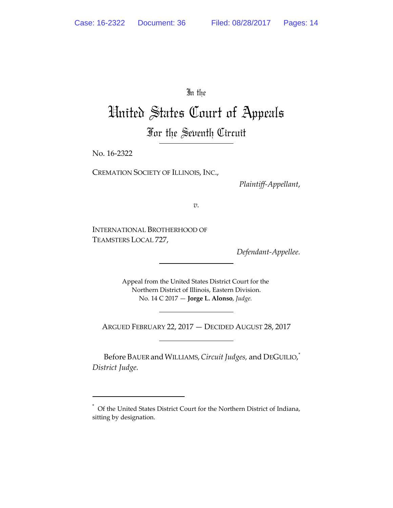In the

# United States Court of Appeals For the Seventh Circuit

No. 16‐2322

CREMATION SOCIETY OF ILLINOIS, INC.,

*Plaintiff‐Appellant*,

*v.*

INTERNATIONAL BROTHERHOOD OF TEAMSTERS LOCAL 727,

*Defendant‐Appellee.*

Appeal from the United States District Court for the Northern District of Illinois, Eastern Division. No. 14 C 2017 — **Jorge L. Alonso**, *Judge.*

ARGUED FEBRUARY 22, 2017 — DECIDED AUGUST 28, 2017

Before BAUER andWILLIAMS,*Circuit Judges,* and DEGUILIO, \* *District Judge.*

<sup>\*</sup> Of the United States District Court for the Northern District of Indiana, sitting by designation.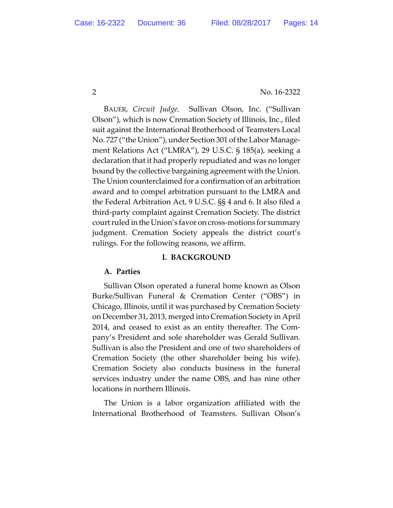BAUER, *Circuit Judge.* Sullivan Olson, Inc. ("Sullivan Olson"), which is now Cremation Society of Illinois, Inc., filed suit against the International Brotherhood of Teamsters Local No. 727 ("the Union"), under Section 301 of the Labor Manage‐ ment Relations Act ("LMRA"), 29 U.S.C. § 185(a), seeking a declaration that it had properly repudiated and was no longer bound by the collective bargaining agreement with the Union. The Union counterclaimed for a confirmation of an arbitration award and to compel arbitration pursuant to the LMRA and the Federal Arbitration Act, 9 U.S.C. §§ 4 and 6. It also filed a third‐party complaint against Cremation Society. The district court ruled in the Union's favor on cross-motions for summary judgment. Cremation Society appeals the district court's rulings. For the following reasons, we affirm.

#### **I. BACKGROUND**

#### **A. Parties**

Sullivan Olson operated a funeral home known as Olson Burke/Sullivan Funeral & Cremation Center ("OBS") in Chicago, Illinois, until it was purchased by Cremation Society on December 31, 2013, merged into Cremation Society in April 2014, and ceased to exist as an entity thereafter. The Com‐ pany's President and sole shareholder was Gerald Sullivan. Sullivan is also the President and one of two shareholders of Cremation Society (the other shareholder being his wife). Cremation Society also conducts business in the funeral services industry under the name OBS, and has nine other locations in northern Illinois.

The Union is a labor organization affiliated with the International Brotherhood of Teamsters. Sullivan Olson's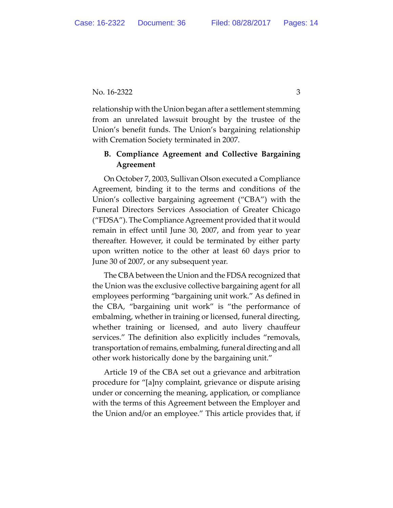relationship with the Union began after a settlement stemming from an unrelated lawsuit brought by the trustee of the Union's benefit funds. The Union's bargaining relationship with Cremation Society terminated in 2007.

# **B. Compliance Agreement and Collective Bargaining Agreement**

On October 7, 2003, Sullivan Olson executed a Compliance Agreement, binding it to the terms and conditions of the Union's collective bargaining agreement ("CBA") with the Funeral Directors Services Association of Greater Chicago ("FDSA"). The Compliance Agreement provided that it would remain in effect until June 30, 2007, and from year to year thereafter. However, it could be terminated by either party upon written notice to the other at least 60 days prior to June 30 of 2007, or any subsequent year.

The CBA between the Union and the FDSA recognized that the Union was the exclusive collective bargaining agent for all employees performing "bargaining unit work." As defined in the CBA, "bargaining unit work" is "the performance of embalming, whether in training or licensed, funeral directing, whether training or licensed, and auto livery chauffeur services." The definition also explicitly includes "removals, transportation of remains, embalming, funeral directing and all other work historically done by the bargaining unit."

Article 19 of the CBA set out a grievance and arbitration procedure for "[a]ny complaint, grievance or dispute arising under or concerning the meaning, application, or compliance with the terms of this Agreement between the Employer and the Union and/or an employee." This article provides that, if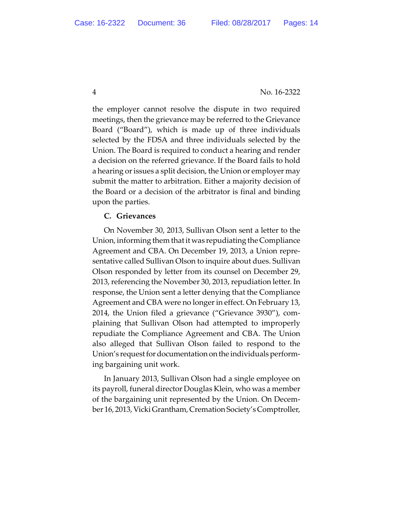the employer cannot resolve the dispute in two required meetings, then the grievance may be referred to the Grievance Board ("Board"), which is made up of three individuals selected by the FDSA and three individuals selected by the Union. The Board is required to conduct a hearing and render a decision on the referred grievance. If the Board fails to hold a hearing or issues a split decision, the Union or employer may submit the matter to arbitration. Either a majority decision of the Board or a decision of the arbitrator is final and binding upon the parties.

### **C. Grievances**

On November 30, 2013, Sullivan Olson sent a letter to the Union, informing them thatit was repudiating the Compliance Agreement and CBA. On December 19, 2013, a Union repre‐ sentative called Sullivan Olson to inquire about dues. Sullivan Olson responded by letter from its counsel on December 29, 2013, referencing the November 30, 2013, repudiation letter. In response, the Union sent a letter denying that the Compliance Agreement and CBA were no longer in effect. On February 13, 2014, the Union filed a grievance ("Grievance 3930"), com‐ plaining that Sullivan Olson had attempted to improperly repudiate the Compliance Agreement and CBA. The Union also alleged that Sullivan Olson failed to respond to the Union's request for documentation on the individuals performing bargaining unit work.

In January 2013, Sullivan Olson had a single employee on its payroll, funeral director Douglas Klein, who was a member of the bargaining unit represented by the Union. On Decem‐ ber 16, 2013, Vicki Grantham, Cremation Society's Comptroller,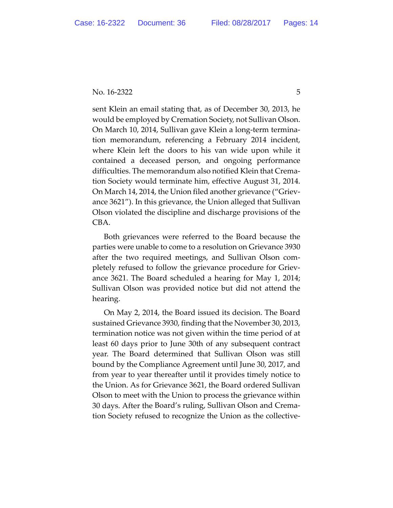sent Klein an email stating that, as of December 30, 2013, he would be employed by Cremation Society, not Sullivan Olson. On March 10, 2014, Sullivan gave Klein a long‐term termina‐ tion memorandum, referencing a February 2014 incident, where Klein left the doors to his van wide upon while it contained a deceased person, and ongoing performance difficulties. The memorandum also notified Klein that Crema‐ tion Society would terminate him, effective August 31, 2014. On March 14, 2014, the Union filed another grievance ("Griev‐ ance 3621"). In this grievance, the Union alleged that Sullivan Olson violated the discipline and discharge provisions of the CBA.

Both grievances were referred to the Board because the parties were unable to come to a resolution on Grievance 3930 after the two required meetings, and Sullivan Olson com‐ pletely refused to follow the grievance procedure for Griev‐ ance 3621. The Board scheduled a hearing for May 1, 2014; Sullivan Olson was provided notice but did not attend the hearing.

On May 2, 2014, the Board issued its decision. The Board sustained Grievance 3930, finding that the November 30, 2013, termination notice was not given within the time period of at least 60 days prior to June 30th of any subsequent contract year. The Board determined that Sullivan Olson was still bound by the Compliance Agreement until June 30, 2017, and from year to year thereafter until it provides timely notice to the Union. As for Grievance 3621, the Board ordered Sullivan Olson to meet with the Union to process the grievance within 30 days. After the Board's ruling, Sullivan Olson and Crema‐ tion Society refused to recognize the Union as the collective‐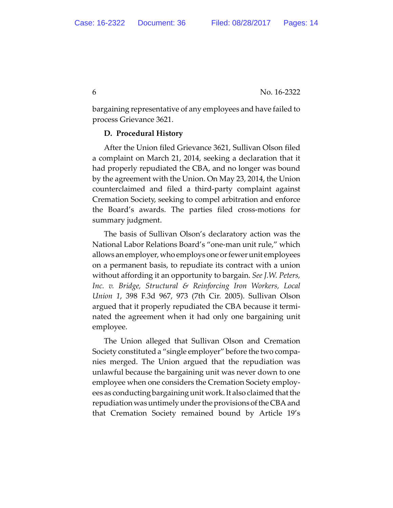bargaining representative of any employees and have failed to process Grievance 3621.

### **D. Procedural History**

After the Union filed Grievance 3621, Sullivan Olson filed a complaint on March 21, 2014, seeking a declaration that it had properly repudiated the CBA, and no longer was bound by the agreement with the Union. On May 23, 2014, the Union counterclaimed and filed a third‐party complaint against Cremation Society, seeking to compel arbitration and enforce the Board's awards. The parties filed cross‐motions for summary judgment.

The basis of Sullivan Olson's declaratory action was the National Labor Relations Board's "one‐man unit rule," which allows an employer, who employs one or fewer unit employees on a permanent basis, to repudiate its contract with a union without affording it an opportunity to bargain. *See J.W. Peters, Inc. v. Bridge, Structural & Reinforcing Iron Workers, Local Union 1*, 398 F.3d 967, 973 (7th Cir. 2005). Sullivan Olson argued that it properly repudiated the CBA because it termi‐ nated the agreement when it had only one bargaining unit employee.

The Union alleged that Sullivan Olson and Cremation Society constituted a "single employer" before the two compa‐ nies merged. The Union argued that the repudiation was unlawful because the bargaining unit was never down to one employee when one considers the Cremation Society employ‐ ees as conducting bargaining unit work. It also claimed that the repudiation was untimely under the provisions of the CBA and that Cremation Society remained bound by Article 19's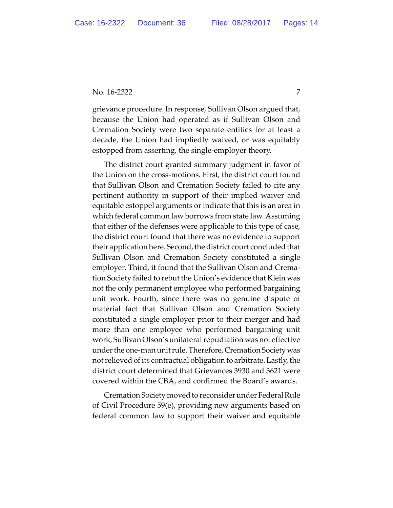grievance procedure. In response, Sullivan Olson argued that, because the Union had operated as if Sullivan Olson and Cremation Society were two separate entities for at least a decade, the Union had impliedly waived, or was equitably estopped from asserting, the single‐employer theory.

The district court granted summary judgment in favor of the Union on the cross‐motions. First, the district court found that Sullivan Olson and Cremation Society failed to cite any pertinent authority in support of their implied waiver and equitable estoppel arguments or indicate that this is an area in which federal common law borrows from state law. Assuming that either of the defenses were applicable to this type of case, the district court found that there was no evidence to support their application here. Second, the district court concluded that Sullivan Olson and Cremation Society constituted a single employer. Third, it found that the Sullivan Olson and Crema‐ tion Society failed to rebut the Union's evidence that Klein was not the only permanent employee who performed bargaining unit work. Fourth, since there was no genuine dispute of material fact that Sullivan Olson and Cremation Society constituted a single employer prior to their merger and had more than one employee who performed bargaining unit work, Sullivan Olson's unilateral repudiation was not effective under the one-man unit rule. Therefore, Cremation Society was notrelieved of its contractual obligation to arbitrate. Lastly, the district court determined that Grievances 3930 and 3621 were covered within the CBA, and confirmed the Board's awards.

Cremation Society moved to reconsider under Federal Rule of Civil Procedure 59(e), providing new arguments based on federal common law to support their waiver and equitable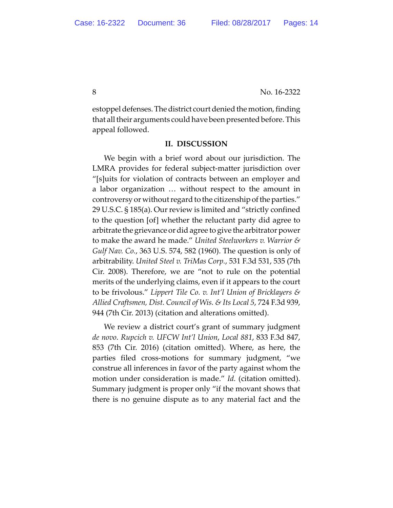8 No. 16-2322

estoppel defenses. The district court denied the motion, finding that all their arguments could have been presented before. This appeal followed.

#### **II. DISCUSSION**

We begin with a brief word about our jurisdiction. The LMRA provides for federal subject‐matter jurisdiction over "[s]uits for violation of contracts between an employer and a labor organization … without respect to the amount in controversy or without regard to the citizenship of the parties." 29 U.S.C. § 185(a). Our review is limited and "strictly confined to the question [of] whether the reluctant party did agree to arbitrate the grievance or did agree to give the arbitrator power to make the award he made." *United Steelworkers v. Warrior & Gulf Nav. Co.*, 363 U.S. 574, 582 (1960). The question is only of arbitrability. *United Steel v. TriMas Corp.*, 531 F.3d 531, 535 (7th Cir. 2008). Therefore, we are "not to rule on the potential merits of the underlying claims, even if it appears to the court to be frivolous." *Lippert Tile Co. v. Int'l Union of Bricklayers & Allied Craftsmen, Dist. Council of Wis. & Its Local 5*, 724 F.3d 939, 944 (7th Cir. 2013) (citation and alterations omitted).

We review a district court's grant of summary judgment *de novo*. *Rupcich v. UFCW Int'l Union*, *Local 881*, 833 F.3d 847, 853 (7th Cir. 2016) (citation omitted). Where, as here, the parties filed cross‐motions for summary judgment, "we construe all inferences in favor of the party against whom the motion under consideration is made." *Id.* (citation omitted). Summary judgment is proper only "if the movant shows that there is no genuine dispute as to any material fact and the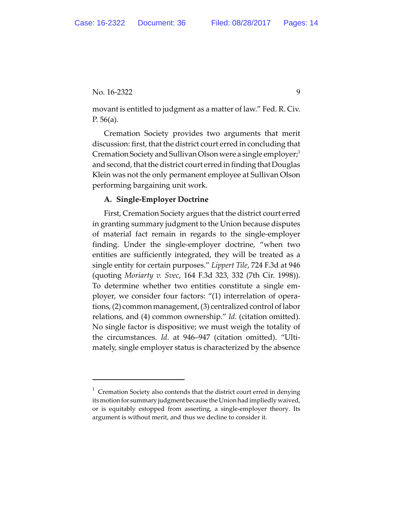movant is entitled to judgment as a matter of law." Fed. R. Civ. P. 56(a).

Cremation Society provides two arguments that merit discussion: first, that the district court erred in concluding that Cremation Society and Sullivan Olson were a single employer;<sup>1</sup> and second, that the district court erred in finding that Douglas Klein was not the only permanent employee at Sullivan Olson performing bargaining unit work.

## **A. Single‐Employer Doctrine**

First, Cremation Society argues that the district court erred in granting summary judgment to the Union because disputes of material fact remain in regards to the single‐employer finding. Under the single‐employer doctrine, "when two entities are sufficiently integrated, they will be treated as a single entity for certain purposes." *Lippert Tile*, 724 F.3d at 946 (quoting *Moriarty v. Svec*, 164 F.3d 323, 332 (7th Cir. 1998)). To determine whether two entities constitute a single em‐ ployer, we consider four factors: "(1) interrelation of opera‐ tions, (2) common management, (3) centralized control of labor relations, and (4) common ownership." *Id.* (citation omitted). No single factor is dispositive; we must weigh the totality of the circumstances. *Id.* at 946–947 (citation omitted). "Ulti‐ mately, single employer status is characterized by the absence

 $1$  Cremation Society also contends that the district court erred in denying its motion for summary judgment because the Union had impliedly waived, or is equitably estopped from asserting, a single‐employer theory. Its argument is without merit, and thus we decline to consider it.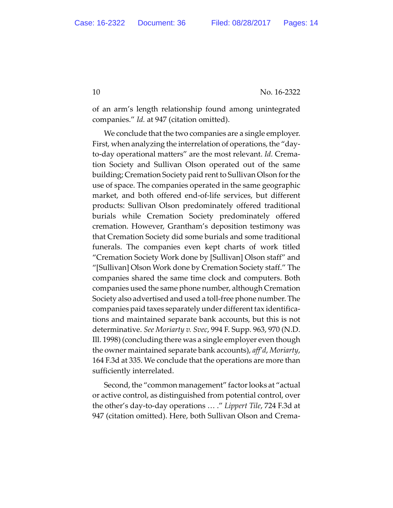of an arm's length relationship found among unintegrated companies." *Id.* at 947 (citation omitted).

We conclude that the two companies are a single employer. First, when analyzing the interrelation of operations, the "day‐ to‐day operational matters" are the most relevant. *Id.* Crema‐ tion Society and Sullivan Olson operated out of the same building; Cremation Society paid rent to Sullivan Olson forthe use of space. The companies operated in the same geographic market, and both offered end‐of‐life services, but different products: Sullivan Olson predominately offered traditional burials while Cremation Society predominately offered cremation. However, Grantham's deposition testimony was that Cremation Society did some burials and some traditional funerals. The companies even kept charts of work titled "Cremation Society Work done by [Sullivan] Olson staff" and "[Sullivan] Olson Work done by Cremation Society staff." The companies shared the same time clock and computers. Both companies used the same phone number, although Cremation Society also advertised and used a toll‐free phone number. The companies paid taxes separately under different tax identifica‐ tions and maintained separate bank accounts, but this is not determinative. *See Moriarty v. Svec*, 994 F. Supp. 963, 970 (N.D. Ill. 1998) (concluding there was a single employer even though the owner maintained separate bank accounts), *aff'd*, *Moriarty*, 164 F.3d at 335. We conclude that the operations are more than sufficiently interrelated.

Second, the "common management" factor looks at "actual or active control, as distinguished from potential control, over the other's day‐to‐day operations … ." *Lippert Tile*, 724 F.3d at 947 (citation omitted). Here, both Sullivan Olson and Crema‐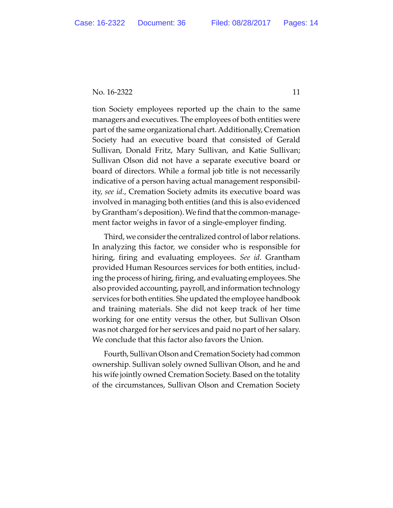tion Society employees reported up the chain to the same managers and executives. The employees of both entities were part of the same organizational chart. Additionally, Cremation Society had an executive board that consisted of Gerald Sullivan, Donald Fritz, Mary Sullivan, and Katie Sullivan; Sullivan Olson did not have a separate executive board or board of directors. While a formal job title is not necessarily indicative of a person having actual management responsibil‐ ity, *see id.*, Cremation Society admits its executive board was involved in managing both entities (and this is also evidenced by Grantham's deposition). We find that the common-management factor weighs in favor of a single‐employer finding.

Third, we consider the centralized control of labor relations. In analyzing this factor, we consider who is responsible for hiring, firing and evaluating employees. *See id.* Grantham provided Human Resources services for both entities, includ‐ ing the process of hiring, firing, and evaluating employees. She also provided accounting, payroll, and information technology services for both entities. She updated the employee handbook and training materials. She did not keep track of her time working for one entity versus the other, but Sullivan Olson was not charged for her services and paid no part of her salary. We conclude that this factor also favors the Union.

Fourth, Sullivan Olson and Cremation Society had common ownership. Sullivan solely owned Sullivan Olson, and he and his wife jointly owned Cremation Society. Based on the totality of the circumstances, Sullivan Olson and Cremation Society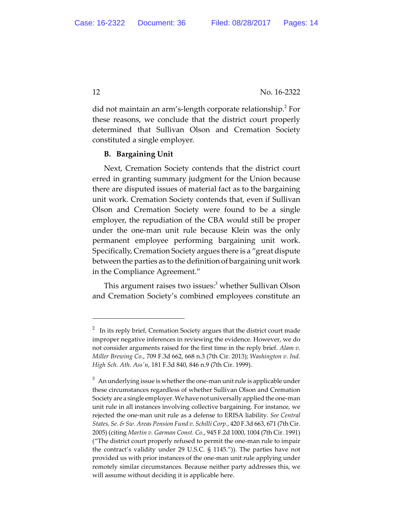did not maintain an arm's-length corporate relationship.<sup>2</sup> For these reasons, we conclude that the district court properly determined that Sullivan Olson and Cremation Society constituted a single employer.

## **B. Bargaining Unit**

Next, Cremation Society contends that the district court erred in granting summary judgment for the Union because there are disputed issues of material fact as to the bargaining unit work. Cremation Society contends that, even if Sullivan Olson and Cremation Society were found to be a single employer, the repudiation of the CBA would still be proper under the one‐man unit rule because Klein was the only permanent employee performing bargaining unit work. Specifically, Cremation Society argues there is a "great dispute between the parties as to the definition of bargaining unit work in the Compliance Agreement."

This argument raises two issues:<sup>3</sup> whether Sullivan Olson and Cremation Society's combined employees constitute an

<sup>2</sup> In its reply brief, Cremation Society argues that the district court made improper negative inferences in reviewing the evidence. However, we do not consider arguments raised for the first time in the reply brief. *Alam v. Miller Brewing Co.*, 709 F.3d 662, 668 n.3 (7th Cir. 2013); *Washington v. Ind. High Sch. Ath. Assʹn*, 181 F.3d 840, 846 n.9 (7th Cir. 1999).

 $^3$  An underlying issue is whether the one-man unit rule is applicable under these circumstances regardless of whether Sullivan Olson and Cremation Society are a single employer. We have not universally applied the one-man unit rule in all instances involving collective bargaining. For instance, we rejected the one‐man unit rule as a defense to ERISA liability. *See Central States, Se. & Sw. Areas Pension Fund v. Schilli Corp.*, 420 F.3d 663, 671 (7th Cir. 2005) (citing *Martin v. Garman Const. Co.*, 945 F.2d 1000, 1004 (7th Cir. 1991) ("The district court properly refused to permit the one‐man rule to impair the contract's validity under 29 U.S.C. § 1145.")). The parties have not provided us with prior instances of the one‐man unit rule applying under remotely similar circumstances. Because neither party addresses this, we will assume without deciding it is applicable here.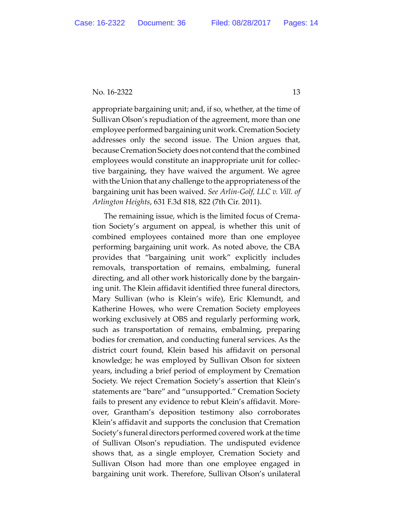appropriate bargaining unit; and, if so, whether, at the time of Sullivan Olson's repudiation of the agreement, more than one employee performed bargaining unit work. Cremation Society addresses only the second issue. The Union argues that, because Cremation Society does not contend that the combined employees would constitute an inappropriate unit for collec‐ tive bargaining, they have waived the argument. We agree with the Union that any challenge to the appropriateness of the bargaining unit has been waived. *See Arlin‐Golf, LLC v. Vill. of Arlington Heights*, 631 F.3d 818, 822 (7th Cir. 2011).

The remaining issue, which is the limited focus of Crema‐ tion Society's argument on appeal, is whether this unit of combined employees contained more than one employee performing bargaining unit work. As noted above, the CBA provides that "bargaining unit work" explicitly includes removals, transportation of remains, embalming, funeral directing, and all other work historically done by the bargain‐ ing unit. The Klein affidavit identified three funeral directors, Mary Sullivan (who is Klein's wife), Eric Klemundt, and Katherine Howes, who were Cremation Society employees working exclusively at OBS and regularly performing work, such as transportation of remains, embalming, preparing bodies for cremation, and conducting funeral services. As the district court found, Klein based his affidavit on personal knowledge; he was employed by Sullivan Olson for sixteen years, including a brief period of employment by Cremation Society. We reject Cremation Society's assertion that Klein's statements are "bare" and "unsupported." Cremation Society fails to present any evidence to rebut Klein's affidavit. More‐ over, Grantham's deposition testimony also corroborates Klein's affidavit and supports the conclusion that Cremation Society's funeral directors performed covered work at the time of Sullivan Olson's repudiation. The undisputed evidence shows that, as a single employer, Cremation Society and Sullivan Olson had more than one employee engaged in bargaining unit work. Therefore, Sullivan Olson's unilateral